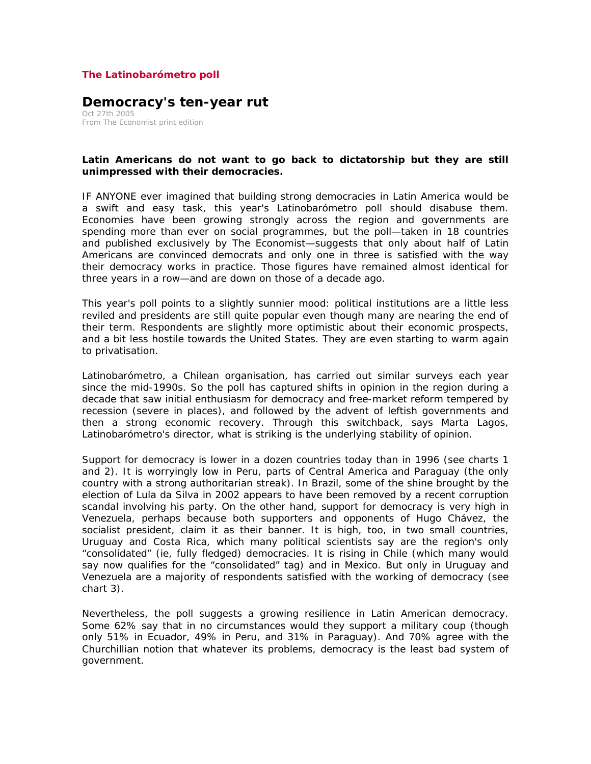## **The Latinobarómetro poll**

## **Democracy's ten-year rut**

Oct 27th 2005 From The Economist print edition

## **Latin Americans do not want to go back to dictatorship but they are still unimpressed with their democracies.**

IF ANYONE ever imagined that building strong democracies in Latin America would be a swift and easy task, this year's Latinobarómetro poll should disabuse them. Economies have been growing strongly across the region and governments are spending more than ever on social programmes, but the poll—taken in 18 countries and published exclusively by *The Economist*—suggests that only about half of Latin Americans are convinced democrats and only one in three is satisfied with the way their democracy works in practice. Those figures have remained almost identical for three years in a row—and are down on those of a decade ago.

This year's poll points to a slightly sunnier mood: political institutions are a little less reviled and presidents are still quite popular even though many are nearing the end of their term. Respondents are slightly more optimistic about their economic prospects, and a bit less hostile towards the United States. They are even starting to warm again to privatisation.

Latinobarómetro, a Chilean organisation, has carried out similar surveys each year since the mid-1990s. So the poll has captured shifts in opinion in the region during a decade that saw initial enthusiasm for democracy and free-market reform tempered by recession (severe in places), and followed by the advent of leftish governments and then a strong economic recovery. Through this switchback, says Marta Lagos, Latinobarómetro's director, what is striking is the underlying stability of opinion.

Support for democracy is lower in a dozen countries today than in 1996 (see charts 1 and 2). It is worryingly low in Peru, parts of Central America and Paraguay (the only country with a strong authoritarian streak). In Brazil, some of the shine brought by the election of Lula da Silva in 2002 appears to have been removed by a recent corruption scandal involving his party. On the other hand, support for democracy is very high in Venezuela, perhaps because both supporters and opponents of Hugo Chávez, the socialist president, claim it as their banner. It is high, too, in two small countries, Uruguay and Costa Rica, which many political scientists say are the region's only "consolidated" (ie, fully fledged) democracies. It is rising in Chile (which many would say now qualifies for the "consolidated" tag) and in Mexico. But only in Uruguay and Venezuela are a majority of respondents satisfied with the working of democracy (see chart 3).

Nevertheless, the poll suggests a growing resilience in Latin American democracy. Some 62% say that in no circumstances would they support a military coup (though only 51% in Ecuador, 49% in Peru, and 31% in Paraguay). And 70% agree with the Churchillian notion that whatever its problems, democracy is the least bad system of government.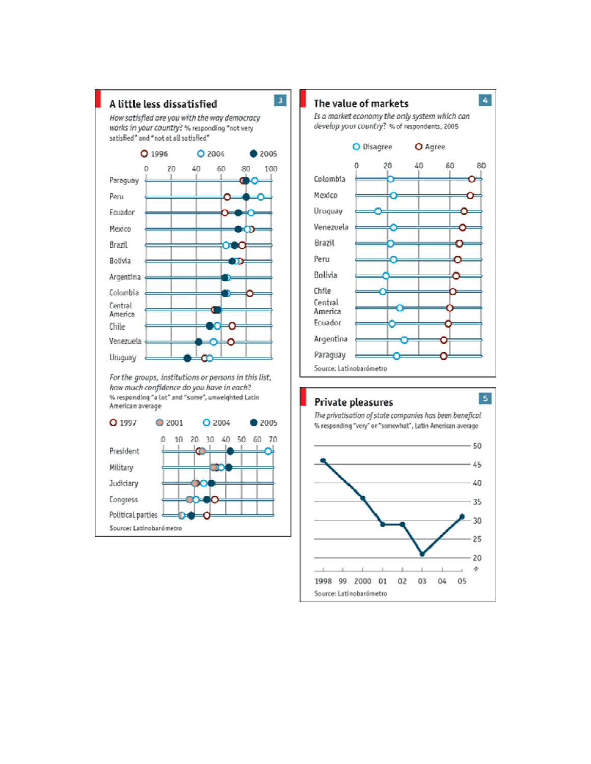



## Private pleasures



The privatisation of state companies has been benefical % responding "very" or "somewhat", Latin American average

 $\overline{\phantom{a}}$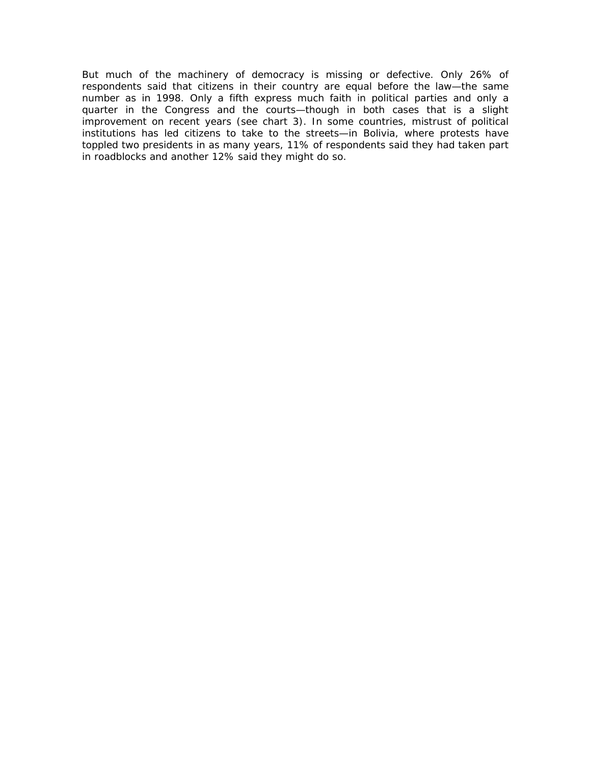But much of the machinery of democracy is missing or defective. Only 26% of respondents said that citizens in their country are equal before the law—the same number as in 1998. Only a fifth express much faith in political parties and only a quarter in the Congress and the courts—though in both cases that is a slight improvement on recent years (see chart 3). In some countries, mistrust of political institutions has led citizens to take to the streets—in Bolivia, where protests have toppled two presidents in as many years, 11% of respondents said they had taken part in roadblocks and another 12% said they might do so.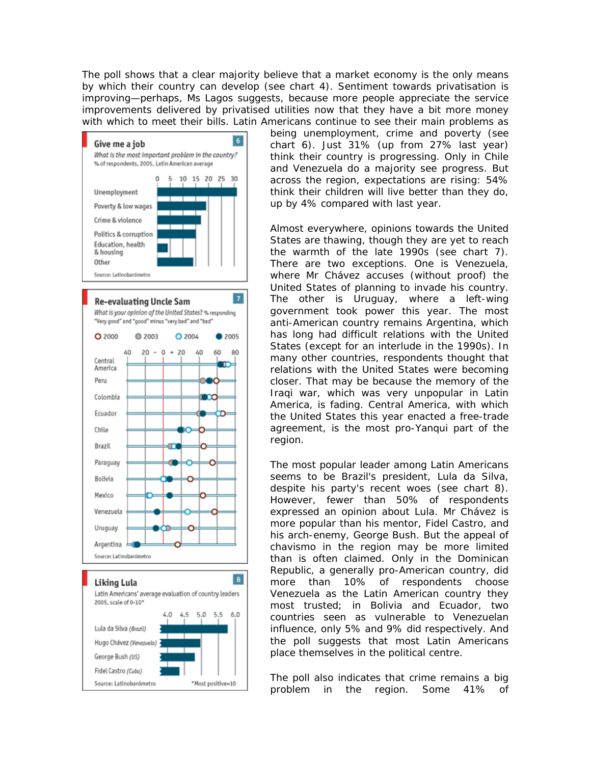The poll shows that a clear majority believe that a market economy is the only means by which their country can develop (see chart 4). Sentiment towards privatisation is improving—perhaps, Ms Lagos suggests, because more people appreciate the service improvements delivered by privatised utilities now that they have a bit more money with which to meet their bills. Latin Americans continue to see their main problems as



being unemployment, crime and poverty (see chart 6). Just 31% (up from 27% last year) think their country is progressing. Only in Chile and Venezuela do a majority see progress. But across the region, expectations are rising: 54% think their children will live better than they do, up by 4% compared with last year.

Almost everywhere, opinions towards the United States are thawing, though they are yet to reach the warmth of the late 1990s (see chart 7). There are two exceptions. One is Venezuela, where Mr Chávez accuses (without proof) the United States of planning to invade his country. The other is Uruguay, where a left-wing government took power this year. The most anti-American country remains Argentina, which has long had difficult relations with the United States (except for an interlude in the 1990s). In many other countries, respondents thought that relations with the United States were becoming closer. That may be because the memory of the Iraqi war, which was very unpopular in Latin America, is fading. Central America, with which the United States this year enacted a free-trade agreement, is the most pro-*Yanqui* part of the region.

The most popular leader among Latin Americans seems to be Brazil's president, Lula da Silva, despite his party's recent woes (see chart 8). However, fewer than 50% of respondents expressed an opinion about Lula. Mr Chávez is more popular than his mentor, Fidel Castro, and his arch-enemy, George Bush. But the appeal of *chavismo* in the region may be more limited than is often claimed. Only in the Dominican Republic, a generally pro-American country, did more than 10% of respondents choose Venezuela as the Latin American country they most trusted; in Bolivia and Ecuador, two countries seen as vulnerable to Venezuelan influence, only 5% and 9% did respectively. And the poll suggests that most Latin Americans place themselves in the political centre.

The poll also indicates that crime remains a big problem in the region. Some 41% of